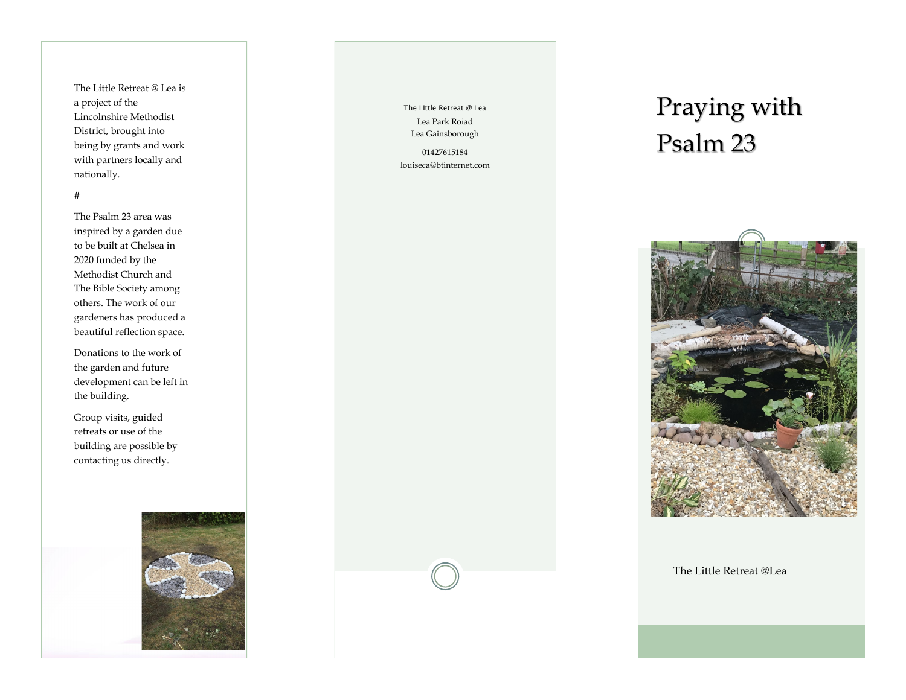The Little Retreat @ Lea is a project of the Lincolnshire Methodist District, brought into being by grants and work with partners locally and nationally. #

The Psalm 23 area was inspired by a garden due to be built at Chelsea in 2020 funded by the Methodist Church and The Bible Society among others. The work of our gardeners has produced a beautiful reflection space.

Donations to the work of the garden and future development can be left in the building.

Group visits, guided retreats or use of the building are possible by contacting us directly.



The LIttle Retreat @ Lea Lea Park Roiad Lea Gainsborough

01427615184 louiseca@btinternet.com

## Praying with Psalm 23



The Little Retreat @Lea